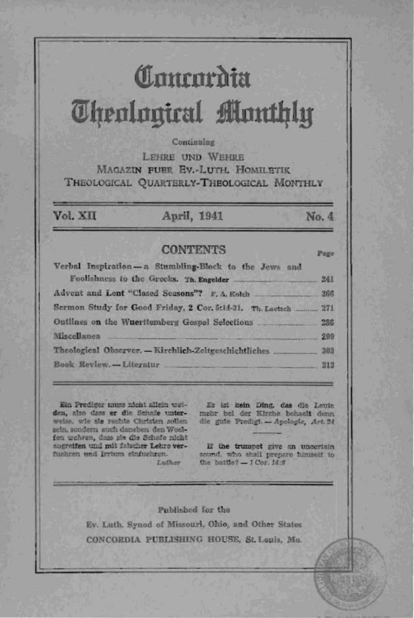# Comparata *<u>Uhenlouical Monthlu</u>*

### Continuing

LEHEE IIND WEHEE MAGAZIN FUER EV.-LUTH, HOMILETIK THEOLOGICAL OUARTERLY-THEOLOGICAL MONTHLY

Vol. XII

## April, 1941

## **CONTENTS**

Verbal Inspiration-a Stumbling-Block to the Jews and Foolishness to the Greeks. Th. Engelder ... 241 Advent and Lent "Closed Seasons"? F. A. Kolch  $900$ Sermon Study for Good Friday, 2 Cor. 5:14-21. Th. Lactach ........... 271 Outlines on the Wuerttemberg Gospel Selections 286 **Miscellanea**  $-299$ Book Review,-Literatur 313

Ein Prediger muss nicht allein weiden, also dass er die Schafe unterwelse, wie sie rechte Christen sollen sein, sondern auch daneben den Woelfen wehren, dass sie die Schafe nicht angreifen und mit falscher Lehre verfushren und Irrtum einfushren.

Es ist kein Ding, das die Leute mehr bei der Kirche behaelt denn die gute Predigt. - Apologie, Art. 24

No. 4

Page

If the trumpet give an uncertain sound, who shall prepare himself to the battle?  $-1$  Cor.  $14:8$ 

#### Published for the

Luther.

Ev. Luth. Synod of Missouri, Ohio, and Other States CONCORDIA PUBLISHING HOUSE, St. Louis, Mo.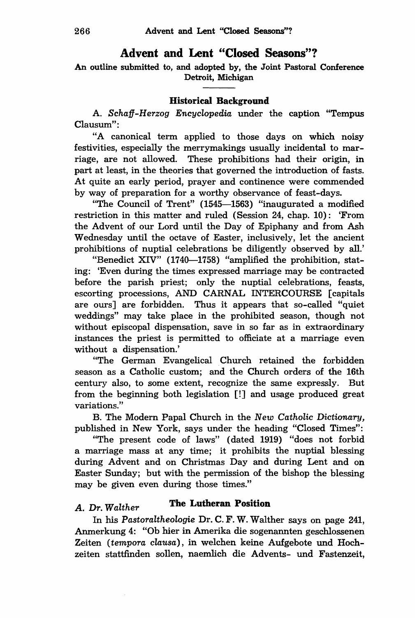# **Advent and Lent "Closed Seasons"?**

An outline submitted to, and adopted by, the Joint Pastoral Conference Detroit, Michigan

## **Historical Background**

A. *Schaff-Herzog Encyclopedia* under the caption "Tempus Clausum":

"A canonical term applied to those days on which noisy festivities, especially the merrymakings usually incidental to marriage, are not allowed. These prohibitions had their origin, in part at least, in the theories that governed the introduction of fasts. At quite an early period, prayer and continence were commended by way of preparation for a worthy observance of feast-days.

"The Council of Trent" (1545-1563) "inaugurated a modified restriction in this matter and ruled (Session 24, chap. 10): 'From the Advent of our Lord until the Day of Epiphany and from Ash Wednesday until the octave of Easter, inclusively, let the ancient prohibitions of nuptial celebrations be diligently observed by all.'

"Benedict XIV" (1740-1758) "amplified the prohibition, stating: 'Even during the times expressed marriage may be contracted before the parish priest; only the nuptial celebrations, feasts, escorting processions, AND CARNAL INTERCOURSE [capitals are ours] are forbidden. Thus it appears that so-called "quiet weddings" may take place in the prohibited season, though not without episcopal dispensation, save in so far as in extraordinary instances the priest is permitted to officiate at a marriage even without a dispensation.'

"The German Evangelical Church retained the forbidden season as a Catholic custom; and the Church orders of the 16th century also, to some extent, recognize the same expressly. But from the beginning both legislation [!] and usage produced great variations."

B. The Modern Papal Church in the *New Catholic Dictionary,*  published in New York, says under the heading "Closed Times":

"The present code of laws" (dated 1919) "does not forbid a marriage mass at any time; it prohibits the nuptial blessing during Advent and on Christmas Day and during Lent and on Easter Sunday; but with the permission of the bishop the blessing may be given even during those times."

# A. *Dr. Walther* **The Lutheran Position**

In his *Pastoraltheologie* Dr. C. F. W. Walther says on page 241, Anmerkung 4: "Ob hier in Amerika die sogenannten geschlossenen Zeiten *(tempora clausa),* in welchen keine Aufgebote und Hochzeiten stattfinden sollen, naemlich die Advents- und Fastenzeit,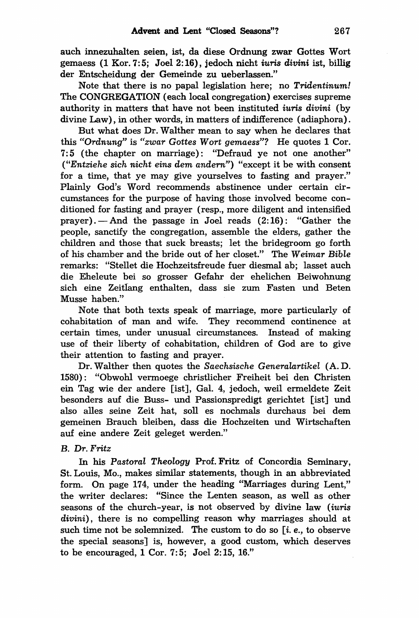auch innezuhalten seien, ist, da diese Ordnung zwar Gottes Wort gemaess (1 Kor.7:5; Joel 2:16), jedoch nicht *iuris divini* ist, billig der Entscheidung der Gemeinde zu ueberlassen."

Note that there is no papal legislation here; no Tridentinum! The CONGREGATION (each local congregation) exercises supreme authority in matters that have not been instituted *iuris divini* (by divine Law), in other words, in matters of indifference (adiaphora).

But what does Dr. Walther mean to say when he declares that this *"Ordnung"* is *"zwar* Gottes *Wort gemaess"?* He quotes 1 Cor. 7: 5 (the chapter on marriage): "Defraud ye not one another" *("Entziehe* sich *nicht eins* dem andern") "except it be with consent for a time, that ye may give yourselves to fasting and prayer." Plainly God's Word recommends abstinence under certain circumstances for the purpose of having those involved become conditioned for fasting and prayer (resp., more diligent and intensified prayer).--And the passage in Joel reads  $(2:16)$ : "Gather the people, sanctify the congregation, assemble the elders, gather the children and those that suck breasts; let the bridegroom go forth of his chamber and the bride out of her closet." The *Weimar Bible*  remarks: "Stellet die Hochzeitsfreude fuer diesmal ab; lasset auch die Eheleute bei so grosser Gefahr der ehelichen Beiwohnung sich eine ZeitIang enthalten, dass sie zum Fasten und Beten Musse haben."

Note that both texts speak of marriage, more particularly of cohabitation of man and wife. They recommend continence at certain times, under unusual circumstances. Instead of making use of their liberty of cohabitation, children of God are to give their attention to fasting and prayer.

Dr. Walther then quotes the *Saechsische Generalartikel* (A. D. 1580) : "Obwohl vermoege christlicher Freiheit bei den Christen ein Tag wie der andere [ist], Gal. 4, jedoch, weil ermeldete Zeit besonders auf die Buss- und Passionspredigt gerichtet [ist] und also alles seine Zeit hat, solI es nochmals durchaus bei dem gemeinen Brauch bleiben, dass die Hochzeiten und Wirtschaften auf eine andere Zeit geleget werden."

#### B. *Dr. Fritz*

In his *Pastoral Theology* Prof. Fritz of Concordia Seminary, St. Louis, Mo., makes similar statements, though in an abbreviated form. On page 174, under the heading "Marriages during Lent," the writer declares: "Since the Lenten season, as well as other seasons of the church-year, is not observed by divine law *(iuris divini)* , there is no compelling reason why marriages should at such time not be solemnized. The custom to do so  $[i, e, j]$ , to observe the special seasons] is, however, a good custom, which deserves to be encouraged, 1 Cor. 7:5; Joel 2:15, 16."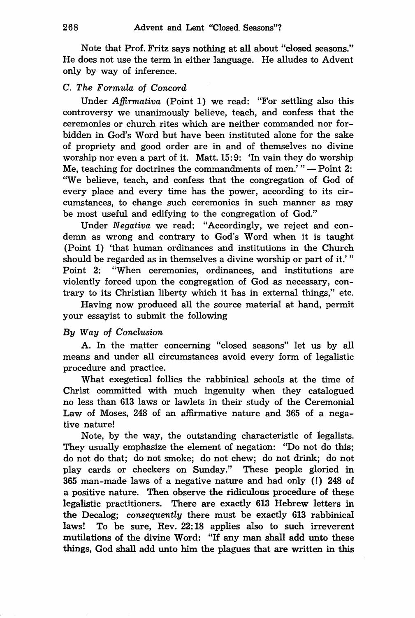Note that Prof. Fritz says nothing at all about "closed seasons." He does not use the term in either language. He alludes to Advent only by way of inference.

### C. *The Formula* of *Concord*

Under *Afjirmativa* (Point 1) we read: "For settling also this controversy we unanimously believe, teach, and confess that the ceremonies or church rites which are neither commanded nor forbidden in God's Word but have been instituted alone for the sake of propriety and good order are in and of themselves no divine worship nor even a part of it. Matt. 15:9: 'In vain they do worship Me, teaching for doctrines the commandments of men.'" $-$ Point 2: "We believe, teach, and confess that the congregation of God of every place and every time has the power, according to its circumstances, to change such ceremonies in such manner as may be most useful and edifying to the congregation of God."

Under *Negativa* we read: "Accordingly, we reject and condemn as wrong and contrary to God's Word when it is taught (Point 1) 'that human ordinances and institutions in the Church should be regarded as in themselves a divine worship or part of it.' " Point 2: "When ceremonies, ordinances, and institutions are violently forced upon the congregation of God as necessary, contrary to its Christian liberty which it has in external things," etc.

Having now produced all the source material at hand, permit your essayist to submit the following

#### *By Way* of *Conclusion*

A. In the matter concerning "closed seasons" let us by all means and under all circumstances avoid every form of legalistic procedure and practice.

What exegetical follies the rabbinical schools at the time of Christ committed with much ingenuity when they catalogued no less than 613 laws or lawlets in their study of the Ceremonial Law of Moses, 248 of an affirmative nature and 365 of a negative nature!

Note, by the way, the outstanding characteristic of legalists. They usually emphasize the element of negation: "Do not do this; do not do that; do not smoke; do not chew; do not drink; do not play cards or checkers on Sunday." These people gloried in 365 man-made laws of a negative nature and had only (!) 248 of a positive nature. Then observe the ridiculous procedure of these legalistic practitioners. There are exactly 613 Hebrew letters in the Decalog; *consequently* there must be exactly 613 rabbinical laws! To be sure, Rev. 22: 18 applies also to such irreverent mutilations of the divine Word: "If any man shall add unto these things, God shall add unto him the plagues that are written in this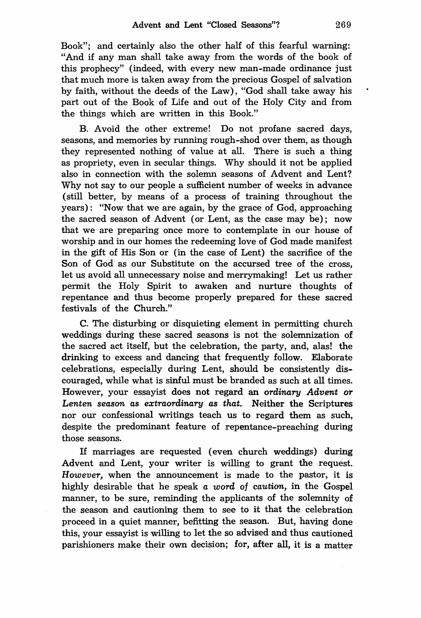Book"; and certainly also the other half of this fearful warning: "And if any man shall take away from the words of the book of this prophecy" (indeed, with every new man-made ordinance just that much more is taken away from the precious Gospel of salvation by faith, without the deeds of the Law), "God shall take away his part out of the Book of Life and out of the Holy City and from the things which are written in this Book."

B. Avoid the other extreme! Do not profane sacred days, seasons, and memories by running rough-shod over them, as though they represented nothing of value at all. There is such a thing as propriety, even in secular things. Why should it not be applied also in connection with the solemn seasons of Advent and Lent? Why not say to our people a sufficient number of weeks in advance (still better, by means of a process of training throughout the years): "Now that we are again, by the grace of God, approaching the sacred season of Advent (or Lent, as the case may be); now that we are preparing once more to contemplate in our house of worship and in our homes the redeeming love of God made manifest in the gift of His Son or (in the case of Lent) the sacrifice of the Son of God as our Substitute on the accursed tree of the cross, let us avoid all unnecessary noise and merrymaking! Let us rather permit the Holy Spirit to awaken and nurture thoughts of repentance and thus become properly prepared for these sacred festivals of the Church."

C. The disturbing or disquieting element in permitting church weddings during these sacred seasons is not the solemnization of the sacred act itself, but the celebration, the party, and, alas! the drinking to excess and dancing that frequently follow. Elaborate celebrations, especially during Lent, should be consistently discouraged, while what is sinful must be branded as such at all times. However, your essayist does not regard an *ordinary Advent or Lenten season as extraordinary as that.* Neither the Scriptures nor our confessional writings teach us to regard them as such, despite the predominant feature of repentance-preaching during those seasons.

If marriages are requested (even church weddings) during Advent and Lent, your writer is willing to grant the request. *However,* when the announcement is made to the pastor, it is highly desirable that he speak *a word* of *caution,* in the Gospel manner, to be sure, reminding the applicants of the solemnity of the season and cautioning them to see to it that the celebration proceed in a quiet manner, befitting the season. But, having done this, your essayist is willing to let the so advised and thus cautioned parishioners make their own decision; for, after all, it is a matter